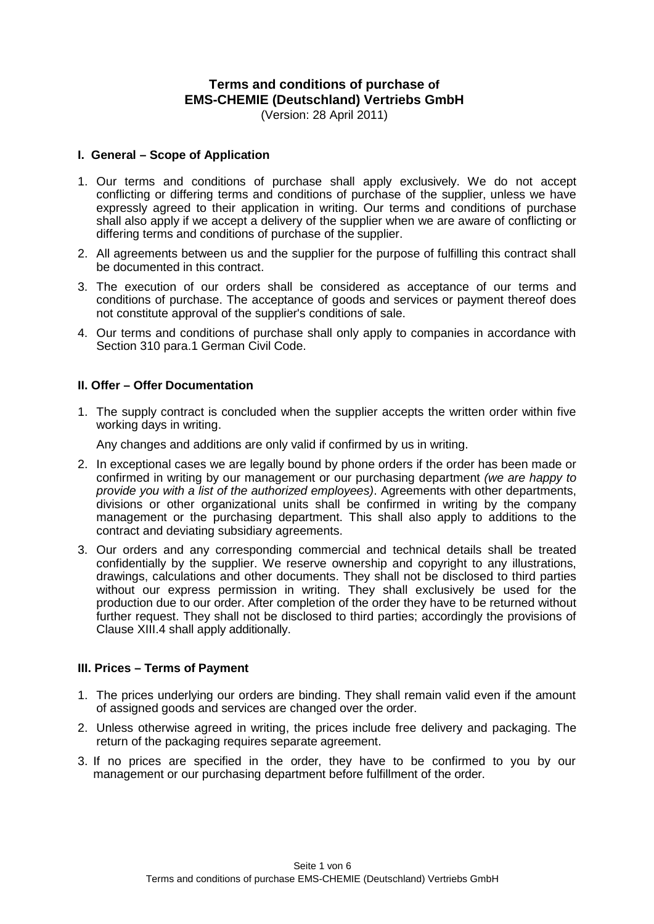# **Terms and conditions of purchase of EMS-CHEMIE (Deutschland) Vertriebs GmbH**

(Version: 28 April 2011)

#### **I. General – Scope of Application**

- 1. Our terms and conditions of purchase shall apply exclusively. We do not accept conflicting or differing terms and conditions of purchase of the supplier, unless we have expressly agreed to their application in writing. Our terms and conditions of purchase shall also apply if we accept a delivery of the supplier when we are aware of conflicting or differing terms and conditions of purchase of the supplier.
- 2. All agreements between us and the supplier for the purpose of fulfilling this contract shall be documented in this contract.
- 3. The execution of our orders shall be considered as acceptance of our terms and conditions of purchase. The acceptance of goods and services or payment thereof does not constitute approval of the supplier's conditions of sale.
- 4. Our terms and conditions of purchase shall only apply to companies in accordance with Section 310 para.1 German Civil Code.

#### **II. Offer – Offer Documentation**

1. The supply contract is concluded when the supplier accepts the written order within five working days in writing.

Any changes and additions are only valid if confirmed by us in writing.

- 2. In exceptional cases we are legally bound by phone orders if the order has been made or confirmed in writing by our management or our purchasing department *(we are happy to provide you with a list of the authorized employees)*. Agreements with other departments, divisions or other organizational units shall be confirmed in writing by the company management or the purchasing department. This shall also apply to additions to the contract and deviating subsidiary agreements.
- 3. Our orders and any corresponding commercial and technical details shall be treated confidentially by the supplier. We reserve ownership and copyright to any illustrations, drawings, calculations and other documents. They shall not be disclosed to third parties without our express permission in writing. They shall exclusively be used for the production due to our order. After completion of the order they have to be returned without further request. They shall not be disclosed to third parties; accordingly the provisions of Clause XIII.4 shall apply additionally.

## **III. Prices – Terms of Payment**

- 1. The prices underlying our orders are binding. They shall remain valid even if the amount of assigned goods and services are changed over the order.
- 2. Unless otherwise agreed in writing, the prices include free delivery and packaging. The return of the packaging requires separate agreement.
- 3. If no prices are specified in the order, they have to be confirmed to you by our management or our purchasing department before fulfillment of the order.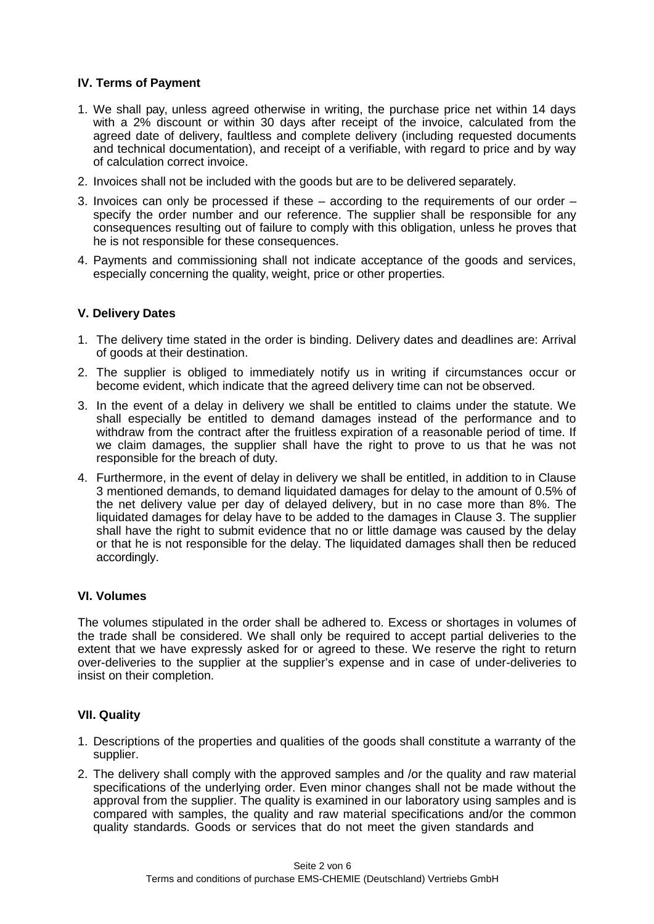## **IV. Terms of Payment**

- 1. We shall pay, unless agreed otherwise in writing, the purchase price net within 14 days with a 2% discount or within 30 days after receipt of the invoice, calculated from the agreed date of delivery, faultless and complete delivery (including requested documents and technical documentation), and receipt of a verifiable, with regard to price and by way of calculation correct invoice.
- 2. Invoices shall not be included with the goods but are to be delivered separately.
- 3. Invoices can only be processed if these  $-$  according to the requirements of our order  $$ specify the order number and our reference. The supplier shall be responsible for any consequences resulting out of failure to comply with this obligation, unless he proves that he is not responsible for these consequences.
- 4. Payments and commissioning shall not indicate acceptance of the goods and services, especially concerning the quality, weight, price or other properties.

## **V. Delivery Dates**

- 1. The delivery time stated in the order is binding. Delivery dates and deadlines are: Arrival of goods at their destination.
- 2. The supplier is obliged to immediately notify us in writing if circumstances occur or become evident, which indicate that the agreed delivery time can not be observed.
- 3. In the event of a delay in delivery we shall be entitled to claims under the statute. We shall especially be entitled to demand damages instead of the performance and to withdraw from the contract after the fruitless expiration of a reasonable period of time. If we claim damages, the supplier shall have the right to prove to us that he was not responsible for the breach of duty.
- 4. Furthermore, in the event of delay in delivery we shall be entitled, in addition to in Clause 3 mentioned demands, to demand liquidated damages for delay to the amount of 0.5% of the net delivery value per day of delayed delivery, but in no case more than 8%. The liquidated damages for delay have to be added to the damages in Clause 3. The supplier shall have the right to submit evidence that no or little damage was caused by the delay or that he is not responsible for the delay. The liquidated damages shall then be reduced accordingly.

## **VI. Volumes**

The volumes stipulated in the order shall be adhered to. Excess or shortages in volumes of the trade shall be considered. We shall only be required to accept partial deliveries to the extent that we have expressly asked for or agreed to these. We reserve the right to return over-deliveries to the supplier at the supplier's expense and in case of under-deliveries to insist on their completion.

## **VII. Quality**

- 1. Descriptions of the properties and qualities of the goods shall constitute a warranty of the supplier.
- 2. The delivery shall comply with the approved samples and /or the quality and raw material specifications of the underlying order. Even minor changes shall not be made without the approval from the supplier. The quality is examined in our laboratory using samples and is compared with samples, the quality and raw material specifications and/or the common quality standards. Goods or services that do not meet the given standards and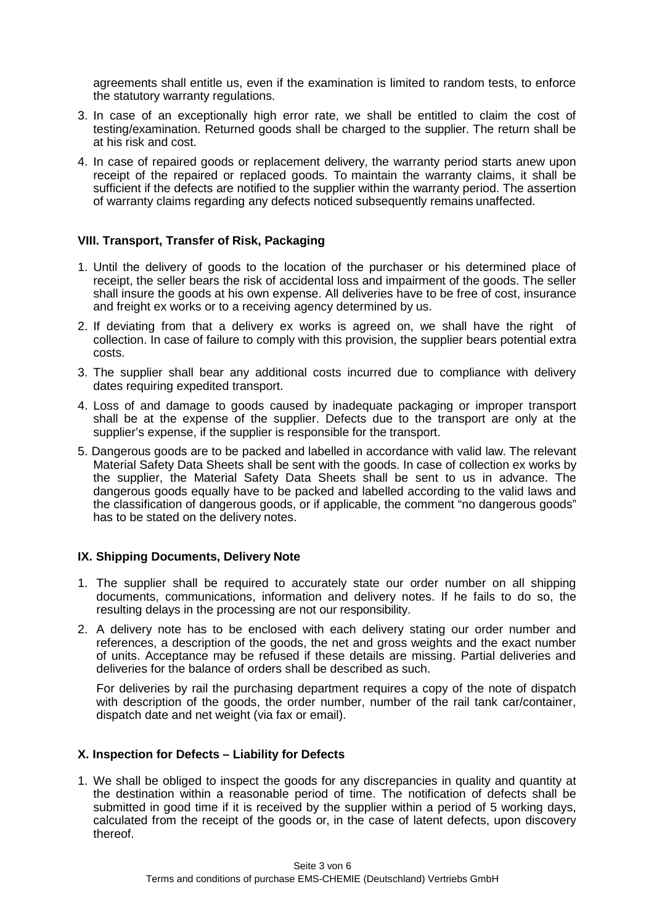agreements shall entitle us, even if the examination is limited to random tests, to enforce the statutory warranty regulations.

- 3. In case of an exceptionally high error rate, we shall be entitled to claim the cost of testing/examination. Returned goods shall be charged to the supplier. The return shall be at his risk and cost.
- 4. In case of repaired goods or replacement delivery, the warranty period starts anew upon receipt of the repaired or replaced goods. To maintain the warranty claims, it shall be sufficient if the defects are notified to the supplier within the warranty period. The assertion of warranty claims regarding any defects noticed subsequently remains unaffected.

## **VIII. Transport, Transfer of Risk, Packaging**

- 1. Until the delivery of goods to the location of the purchaser or his determined place of receipt, the seller bears the risk of accidental loss and impairment of the goods. The seller shall insure the goods at his own expense. All deliveries have to be free of cost, insurance and freight ex works or to a receiving agency determined by us.
- 2. If deviating from that a delivery ex works is agreed on, we shall have the right of collection. In case of failure to comply with this provision, the supplier bears potential extra costs.
- 3. The supplier shall bear any additional costs incurred due to compliance with delivery dates requiring expedited transport.
- 4. Loss of and damage to goods caused by inadequate packaging or improper transport shall be at the expense of the supplier. Defects due to the transport are only at the supplier's expense, if the supplier is responsible for the transport.
- 5. Dangerous goods are to be packed and labelled in accordance with valid law. The relevant Material Safety Data Sheets shall be sent with the goods. In case of collection ex works by the supplier, the Material Safety Data Sheets shall be sent to us in advance. The dangerous goods equally have to be packed and labelled according to the valid laws and the classification of dangerous goods, or if applicable, the comment "no dangerous goods" has to be stated on the delivery notes.

## **IX. Shipping Documents, Delivery Note**

- 1. The supplier shall be required to accurately state our order number on all shipping documents, communications, information and delivery notes. If he fails to do so, the resulting delays in the processing are not our responsibility.
- 2. A delivery note has to be enclosed with each delivery stating our order number and references, a description of the goods, the net and gross weights and the exact number of units. Acceptance may be refused if these details are missing. Partial deliveries and deliveries for the balance of orders shall be described as such.

For deliveries by rail the purchasing department requires a copy of the note of dispatch with description of the goods, the order number, number of the rail tank car/container, dispatch date and net weight (via fax or email).

## **X. Inspection for Defects – Liability for Defects**

1. We shall be obliged to inspect the goods for any discrepancies in quality and quantity at the destination within a reasonable period of time. The notification of defects shall be submitted in good time if it is received by the supplier within a period of 5 working days, calculated from the receipt of the goods or, in the case of latent defects, upon discovery thereof.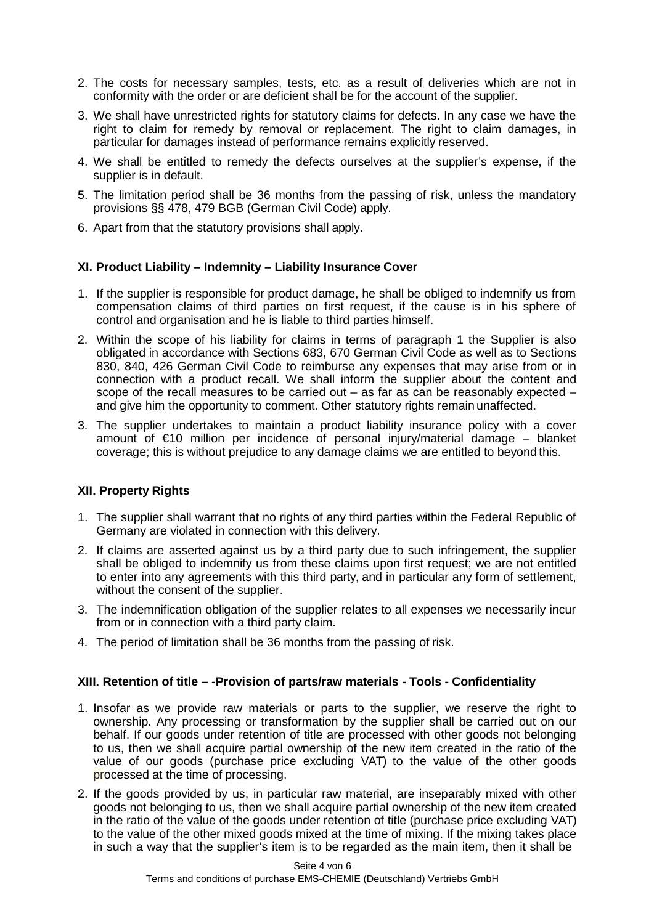- 2. The costs for necessary samples, tests, etc. as a result of deliveries which are not in conformity with the order or are deficient shall be for the account of the supplier.
- 3. We shall have unrestricted rights for statutory claims for defects. In any case we have the right to claim for remedy by removal or replacement. The right to claim damages, in particular for damages instead of performance remains explicitly reserved.
- 4. We shall be entitled to remedy the defects ourselves at the supplier's expense, if the supplier is in default.
- 5. The limitation period shall be 36 months from the passing of risk, unless the mandatory provisions §§ 478, 479 BGB (German Civil Code) apply.
- 6. Apart from that the statutory provisions shall apply.

## **XI. Product Liability – Indemnity – Liability Insurance Cover**

- 1. If the supplier is responsible for product damage, he shall be obliged to indemnify us from compensation claims of third parties on first request, if the cause is in his sphere of control and organisation and he is liable to third parties himself.
- 2. Within the scope of his liability for claims in terms of paragraph 1 the Supplier is also obligated in accordance with Sections 683, 670 German Civil Code as well as to Sections 830, 840, 426 German Civil Code to reimburse any expenses that may arise from or in connection with a product recall. We shall inform the supplier about the content and scope of the recall measures to be carried out  $-$  as far as can be reasonably expected  $$ and give him the opportunity to comment. Other statutory rights remain unaffected.
- 3. The supplier undertakes to maintain a product liability insurance policy with a cover amount of €10 million per incidence of personal injury/material damage – blanket coverage; this is without prejudice to any damage claims we are entitled to beyond this.

## **XII. Property Rights**

- 1. The supplier shall warrant that no rights of any third parties within the Federal Republic of Germany are violated in connection with this delivery.
- 2. If claims are asserted against us by a third party due to such infringement, the supplier shall be obliged to indemnify us from these claims upon first request; we are not entitled to enter into any agreements with this third party, and in particular any form of settlement, without the consent of the supplier.
- 3. The indemnification obligation of the supplier relates to all expenses we necessarily incur from or in connection with a third party claim.
- 4. The period of limitation shall be 36 months from the passing of risk.

#### **XIII. Retention of title – -Provision of parts/raw materials - Tools - Confidentiality**

- 1. Insofar as we provide raw materials or parts to the supplier, we reserve the right to ownership. Any processing or transformation by the supplier shall be carried out on our behalf. If our goods under retention of title are processed with other goods not belonging to us, then we shall acquire partial ownership of the new item created in the ratio of the value of our goods (purchase price excluding VAT) to the value of the other goods processed at the time of processing.
- 2. If the goods provided by us, in particular raw material, are inseparably mixed with other goods not belonging to us, then we shall acquire partial ownership of the new item created in the ratio of the value of the goods under retention of title (purchase price excluding VAT) to the value of the other mixed goods mixed at the time of mixing. If the mixing takes place in such a way that the supplier's item is to be regarded as the main item, then it shall be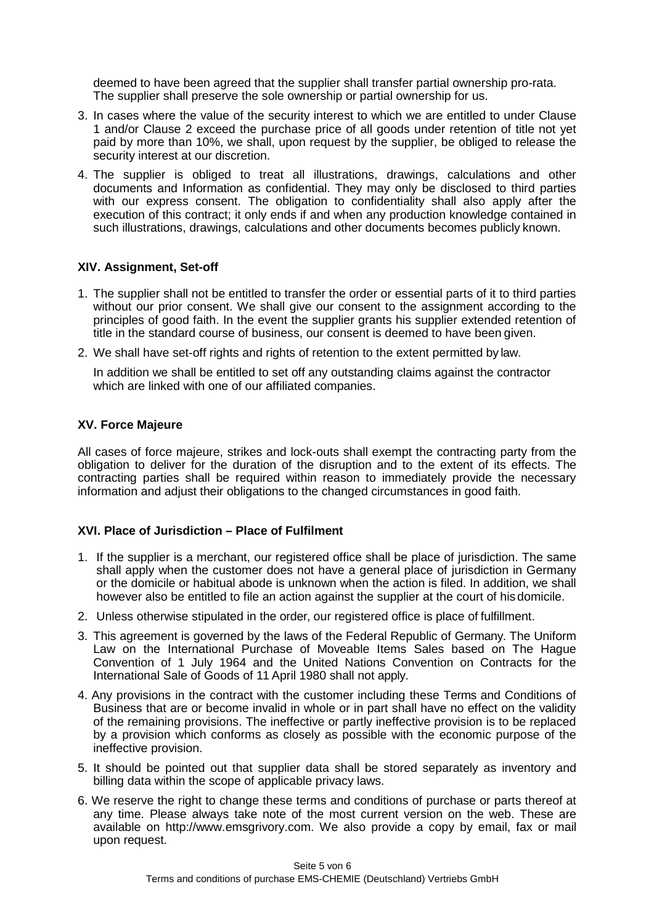deemed to have been agreed that the supplier shall transfer partial ownership pro-rata. The supplier shall preserve the sole ownership or partial ownership for us.

- 3. In cases where the value of the security interest to which we are entitled to under Clause 1 and/or Clause 2 exceed the purchase price of all goods under retention of title not yet paid by more than 10%, we shall, upon request by the supplier, be obliged to release the security interest at our discretion.
- 4. The supplier is obliged to treat all illustrations, drawings, calculations and other documents and Information as confidential. They may only be disclosed to third parties with our express consent. The obligation to confidentiality shall also apply after the execution of this contract; it only ends if and when any production knowledge contained in such illustrations, drawings, calculations and other documents becomes publicly known.

## **XIV. Assignment, Set-off**

- 1. The supplier shall not be entitled to transfer the order or essential parts of it to third parties without our prior consent. We shall give our consent to the assignment according to the principles of good faith. In the event the supplier grants his supplier extended retention of title in the standard course of business, our consent is deemed to have been given.
- 2. We shall have set-off rights and rights of retention to the extent permitted by law.

In addition we shall be entitled to set off any outstanding claims against the contractor which are linked with one of our affiliated companies.

## **XV. Force Majeure**

All cases of force majeure, strikes and lock-outs shall exempt the contracting party from the obligation to deliver for the duration of the disruption and to the extent of its effects. The contracting parties shall be required within reason to immediately provide the necessary information and adjust their obligations to the changed circumstances in good faith.

## **XVI. Place of Jurisdiction – Place of Fulfilment**

- 1. If the supplier is a merchant, our registered office shall be place of jurisdiction. The same shall apply when the customer does not have a general place of jurisdiction in Germany or the domicile or habitual abode is unknown when the action is filed. In addition, we shall however also be entitled to file an action against the supplier at the court of his domicile.
- 2. Unless otherwise stipulated in the order, our registered office is place of fulfillment.
- 3. This agreement is governed by the laws of the Federal Republic of Germany. The Uniform Law on the International Purchase of Moveable Items Sales based on The Hague Convention of 1 July 1964 and the United Nations Convention on Contracts for the International Sale of Goods of 11 April 1980 shall not apply.
- 4. Any provisions in the contract with the customer including these Terms and Conditions of Business that are or become invalid in whole or in part shall have no effect on the validity of the remaining provisions. The ineffective or partly ineffective provision is to be replaced by a provision which conforms as closely as possible with the economic purpose of the ineffective provision.
- 5. It should be pointed out that supplier data shall be stored separately as inventory and billing data within the scope of applicable privacy laws.
- 6. We reserve the right to change these terms and conditions of purchase or parts thereof at any time. Please always take note of the most current version on the web. These are available on [http://www.emsgrivory.com.](http://www.emsgrivory.com/) We also provide a copy by email, fax or mail upon request.